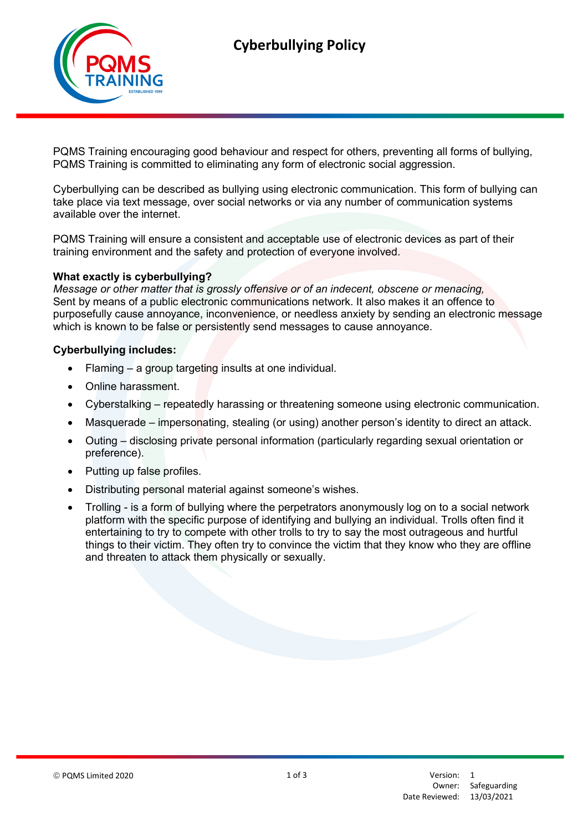

PQMS Training encouraging good behaviour and respect for others, preventing all forms of bullying, PQMS Training is committed to eliminating any form of electronic social aggression.

Cyberbullying can be described as bullying using electronic communication. This form of bullying can take place via text message, over social networks or via any number of communication systems available over the internet.

PQMS Training will ensure a consistent and acceptable use of electronic devices as part of their training environment and the safety and protection of everyone involved.

#### What exactly is cyberbullying?

Message or other matter that is grossly offensive or of an indecent, obscene or menacing, Sent by means of a public electronic communications network. It also makes it an offence to purposefully cause annoyance, inconvenience, or needless anxiety by sending an electronic message which is known to be false or persistently send messages to cause annoyance.

#### Cyberbullying includes:

- Flaming a group targeting insults at one individual.
- Online harassment.
- Cyberstalking repeatedly harassing or threatening someone using electronic communication.
- Masquerade impersonating, stealing (or using) another person's identity to direct an attack.
- Outing disclosing private personal information (particularly regarding sexual orientation or preference).
- Putting up false profiles.
- Distributing personal material against someone's wishes.
- Trolling is a form of bullying where the perpetrators anonymously log on to a social network platform with the specific purpose of identifying and bullying an individual. Trolls often find it entertaining to try to compete with other trolls to try to say the most outrageous and hurtful things to their victim. They often try to convince the victim that they know who they are offline and threaten to attack them physically or sexually.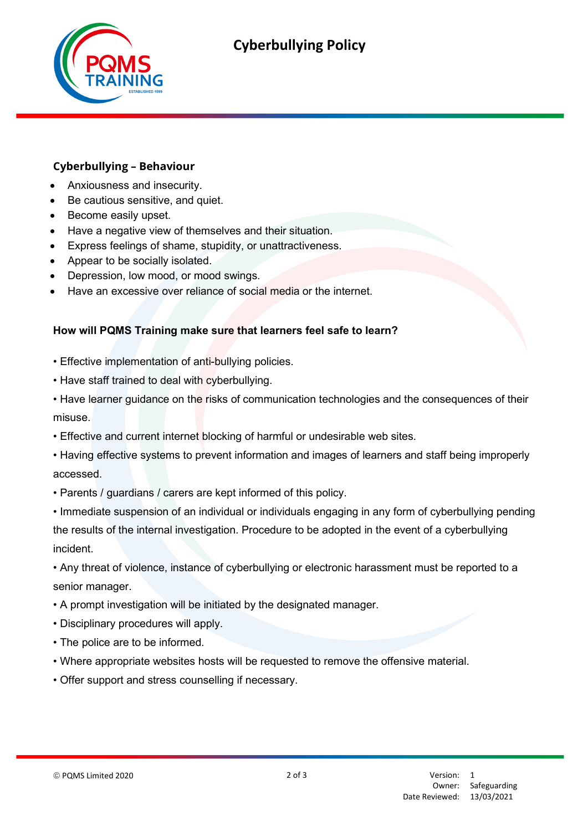

# Cyberbullying Policy

# Cyberbullying – Behaviour

- Anxiousness and insecurity.
- Be cautious sensitive, and quiet.
- Become easily upset.
- Have a negative view of themselves and their situation.
- Express feelings of shame, stupidity, or unattractiveness.
- Appear to be socially isolated.
- Depression, low mood, or mood swings.
- Have an excessive over reliance of social media or the internet.

#### How will PQMS Training make sure that learners feel safe to learn?

- Effective implementation of anti-bullying policies.
- Have staff trained to deal with cyberbullying.
- Have learner guidance on the risks of communication technologies and the consequences of their misuse.
- Effective and current internet blocking of harmful or undesirable web sites.
- Having effective systems to prevent information and images of learners and staff being improperly accessed.
- Parents / guardians / carers are kept informed of this policy.
- Immediate suspension of an individual or individuals engaging in any form of cyberbullying pending the results of the internal investigation. Procedure to be adopted in the event of a cyberbullying incident.
- Any threat of violence, instance of cyberbullying or electronic harassment must be reported to a senior manager.
- A prompt investigation will be initiated by the designated manager.
- Disciplinary procedures will apply.
- The police are to be informed.
- Where appropriate websites hosts will be requested to remove the offensive material.
- Offer support and stress counselling if necessary.